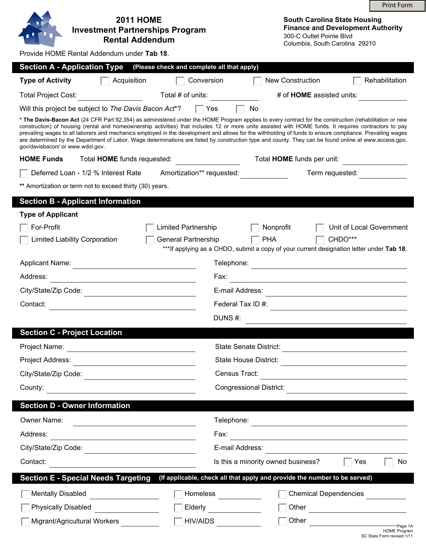|                                                                                                                                                                                                                                                                                                                                                                                                                                                                                                                                                                                                                                                                              |                                            |                                                                                                                                               | <b>Print Form</b>                    |  |  |
|------------------------------------------------------------------------------------------------------------------------------------------------------------------------------------------------------------------------------------------------------------------------------------------------------------------------------------------------------------------------------------------------------------------------------------------------------------------------------------------------------------------------------------------------------------------------------------------------------------------------------------------------------------------------------|--------------------------------------------|-----------------------------------------------------------------------------------------------------------------------------------------------|--------------------------------------|--|--|
| <b>2011 HOME</b><br><b>Investment Partnerships Program</b><br><b>Rental Addendum</b>                                                                                                                                                                                                                                                                                                                                                                                                                                                                                                                                                                                         |                                            | <b>South Carolina State Housing</b><br><b>Finance and Development Authority</b><br>300-C Outlet Pointe Blvd<br>Columbia, South Carolina 29210 |                                      |  |  |
| Provide HOME Rental Addendum under Tab 18.                                                                                                                                                                                                                                                                                                                                                                                                                                                                                                                                                                                                                                   |                                            |                                                                                                                                               |                                      |  |  |
| <b>Section A - Application Type</b>                                                                                                                                                                                                                                                                                                                                                                                                                                                                                                                                                                                                                                          | (Please check and complete all that apply) |                                                                                                                                               |                                      |  |  |
| <b>Type of Activity</b><br>Acquisition                                                                                                                                                                                                                                                                                                                                                                                                                                                                                                                                                                                                                                       | Conversion                                 | <b>New Construction</b>                                                                                                                       | Rehabilitation                       |  |  |
| <b>Total Project Cost:</b>                                                                                                                                                                                                                                                                                                                                                                                                                                                                                                                                                                                                                                                   | Total # of units:                          | # of HOME assisted units:                                                                                                                     |                                      |  |  |
| Will this project be subject to The Davis Bacon Act <sup>*</sup> ?                                                                                                                                                                                                                                                                                                                                                                                                                                                                                                                                                                                                           | <b>Yes</b>                                 | No                                                                                                                                            |                                      |  |  |
| * The Davis-Bacon Act (24 CFR Part 92.354) as administered under the HOME Program applies to every contract for the construction (rehabilitation or new<br>construction) of housing (rental and homeownership activities) that includes 12 or more units assisted with HOME funds. It requires contractors to pay<br>prevailing wages to all laborers and mechanics employed in the development and allows for the withholding of funds to ensure compliance. Prevailing wages<br>are determined by the Department of Labor. Wage determinations are listed by construction type and county. They can be found online at www.access.gpo.<br>gov/davisbacon/ or www.wdol.gov. |                                            |                                                                                                                                               |                                      |  |  |
| <b>HOME Funds</b><br>Total <b>HOME</b> funds requested:                                                                                                                                                                                                                                                                                                                                                                                                                                                                                                                                                                                                                      |                                            | Total HOME funds per unit:                                                                                                                    |                                      |  |  |
| Deferred Loan - 1/2 % Interest Rate                                                                                                                                                                                                                                                                                                                                                                                                                                                                                                                                                                                                                                          | Amortization** requested:                  | Term requested:                                                                                                                               |                                      |  |  |
| ** Amortization or term not to exceed thirty (30) years.                                                                                                                                                                                                                                                                                                                                                                                                                                                                                                                                                                                                                     |                                            |                                                                                                                                               |                                      |  |  |
| <b>Section B - Applicant Information</b>                                                                                                                                                                                                                                                                                                                                                                                                                                                                                                                                                                                                                                     |                                            |                                                                                                                                               |                                      |  |  |
| <b>Type of Applicant</b>                                                                                                                                                                                                                                                                                                                                                                                                                                                                                                                                                                                                                                                     |                                            |                                                                                                                                               |                                      |  |  |
| For-Profit                                                                                                                                                                                                                                                                                                                                                                                                                                                                                                                                                                                                                                                                   | Limited Partnership                        | Nonprofit                                                                                                                                     | Unit of Local Government             |  |  |
| <b>Limited Liability Corporation</b>                                                                                                                                                                                                                                                                                                                                                                                                                                                                                                                                                                                                                                         | <b>General Partnership</b>                 | <b>PHA</b><br>*** If applying as a CHDO, submit a copy of your current designation letter under Tab 18.                                       | CHDO***                              |  |  |
| <b>Applicant Name:</b>                                                                                                                                                                                                                                                                                                                                                                                                                                                                                                                                                                                                                                                       | Telephone:                                 |                                                                                                                                               |                                      |  |  |
| Address:<br>Fax:<br><u> 1989 - Johann Barn, mars ann an t-Amhain Aonaich an t-Aonaich an t-Aonaich an t-Aonaich an t-Aonaich an t-Aon</u><br><u> 1980 - Johann Barbara, martxa alemaniar a</u>                                                                                                                                                                                                                                                                                                                                                                                                                                                                               |                                            |                                                                                                                                               |                                      |  |  |
| City/State/Zip Code:                                                                                                                                                                                                                                                                                                                                                                                                                                                                                                                                                                                                                                                         | E-mail Address:                            |                                                                                                                                               |                                      |  |  |
| Contact:                                                                                                                                                                                                                                                                                                                                                                                                                                                                                                                                                                                                                                                                     | Federal Tax ID #:                          |                                                                                                                                               |                                      |  |  |
| DUNS#:                                                                                                                                                                                                                                                                                                                                                                                                                                                                                                                                                                                                                                                                       |                                            |                                                                                                                                               |                                      |  |  |
| <b>Section C - Project Location</b>                                                                                                                                                                                                                                                                                                                                                                                                                                                                                                                                                                                                                                          |                                            |                                                                                                                                               |                                      |  |  |
| Project Name:                                                                                                                                                                                                                                                                                                                                                                                                                                                                                                                                                                                                                                                                |                                            | State Senate District:                                                                                                                        |                                      |  |  |
| Project Address:                                                                                                                                                                                                                                                                                                                                                                                                                                                                                                                                                                                                                                                             |                                            | <b>State House District:</b>                                                                                                                  |                                      |  |  |
| City/State/Zip Code:                                                                                                                                                                                                                                                                                                                                                                                                                                                                                                                                                                                                                                                         | Census Tract:                              |                                                                                                                                               |                                      |  |  |
| County:                                                                                                                                                                                                                                                                                                                                                                                                                                                                                                                                                                                                                                                                      |                                            | <b>Congressional District:</b>                                                                                                                |                                      |  |  |
| <b>Section D - Owner Information</b>                                                                                                                                                                                                                                                                                                                                                                                                                                                                                                                                                                                                                                         |                                            |                                                                                                                                               |                                      |  |  |
| Owner Name:                                                                                                                                                                                                                                                                                                                                                                                                                                                                                                                                                                                                                                                                  | Telephone:                                 |                                                                                                                                               |                                      |  |  |
| the control of the control of the control of the control of the control of<br>Address:                                                                                                                                                                                                                                                                                                                                                                                                                                                                                                                                                                                       | Fax:                                       | <u> 1989 - Johann Stein, marwolaethau a bhann an t-Amhair an t-Amhair an t-Amhair an t-Amhair an t-Amhair an t-A</u>                          |                                      |  |  |
| City/State/Zip Code:<br>E-mail Address:<br><u> 1980 - Johann Barn, mars ann an t-Amhain Aonaich an t-Aonaich an t-Aonaich ann an t-Aonaich ann an t-Aonaich</u>                                                                                                                                                                                                                                                                                                                                                                                                                                                                                                              |                                            |                                                                                                                                               |                                      |  |  |
| Is this a minority owned business?<br>Contact:<br>$\overline{\phantom{a}}$ Yes                                                                                                                                                                                                                                                                                                                                                                                                                                                                                                                                                                                               |                                            |                                                                                                                                               |                                      |  |  |
| <b>Section E - Special Needs Targeting</b>                                                                                                                                                                                                                                                                                                                                                                                                                                                                                                                                                                                                                                   |                                            | (If applicable, check all that apply and provide the number to be served)                                                                     | No                                   |  |  |
| <b>Mentally Disabled</b>                                                                                                                                                                                                                                                                                                                                                                                                                                                                                                                                                                                                                                                     | Homeless                                   | <b>Chemical Dependencies</b>                                                                                                                  |                                      |  |  |
| <b>Physically Disabled</b>                                                                                                                                                                                                                                                                                                                                                                                                                                                                                                                                                                                                                                                   | Elderly <b>Elderland</b>                   |                                                                                                                                               |                                      |  |  |
|                                                                                                                                                                                                                                                                                                                                                                                                                                                                                                                                                                                                                                                                              |                                            |                                                                                                                                               | Other <u>contracts</u>               |  |  |
| Migrant/Agricultural Workers                                                                                                                                                                                                                                                                                                                                                                                                                                                                                                                                                                                                                                                 | HIV/AIDS                                   |                                                                                                                                               | Other Page 1A<br><b>HOME Program</b> |  |  |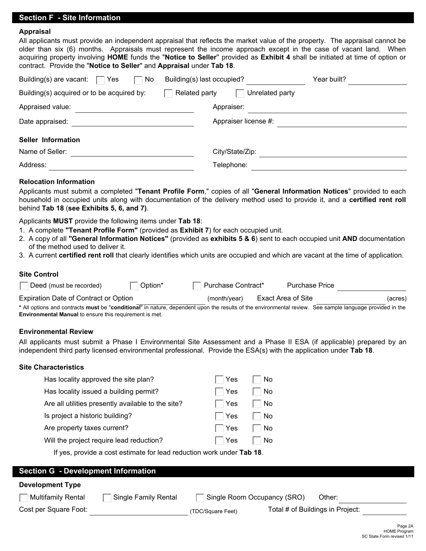# **Section F - Site Information**

# **Appraisal**

| All applicants must provide an independent appraisal that reflects the market value of the property. The appraisal cannot be |
|------------------------------------------------------------------------------------------------------------------------------|
| older than six (6) months. Appraisals must represent the income approach except in the case of vacant land. When             |
| acquiring property involving HOME funds the "Notice to Seller" provided as Exhibit 4 shall be initiated at time of option or |
| contract. Provide the "Notice to Seller" and Appraisal under Tab 18.                                                         |
|                                                                                                                              |

| Building(s) are vacant:<br>No<br>Yes       | Building(s) last occupied?       | Year built? |
|--------------------------------------------|----------------------------------|-------------|
| Building(s) acquired or to be acquired by: | Unrelated party<br>Related party |             |
| Appraised value:                           | Appraiser:                       |             |
| Date appraised:                            | Appraiser license #:             |             |
| <b>Seller Information</b>                  |                                  |             |
| Name of Seller:                            | City/State/Zip:                  |             |
| Address:                                   | Telephone:                       |             |

# **Relocation Information**

Applicants must submit a completed "**Tenant Profile Form**," copies of all "**General Information Notices**" provided to each household in occupied units along with documentation of the delivery method used to provide it, and a **certified rent roll**  behind **Tab 18** (**see Exhibits 5, 6, and 7)**.

Applicants **MUST** provide the following items under **Tab 18**:

- 1. A complete **"Tenant Profile Form"** (provided as **Exhibit 7**) for each occupied unit.
- 2. A copy of all **"General Information Notices"** (provided as **exhibits 5 & 6**) sent to each occupied unit **AND** documentation of the method used to deliver it.
- 3. A current **certified rent roll** that clearly identifies which units are occupied and which are vacant at the time of application.

### **Site Control**

| Deed (must be recorded)                                                                                                                                  | Option* | Purchase Contract* | <b>Purchase Price</b> |         |
|----------------------------------------------------------------------------------------------------------------------------------------------------------|---------|--------------------|-----------------------|---------|
| Expiration Date of Contract or Option                                                                                                                    |         | (month/year)       | Exact Area of Site    | (acres) |
| * All options and contracts must be "conditional" in nature, dependent upon the results of the environmental review. See sample language provided in the |         |                    |                       |         |
| <b>Environmental Manual to ensure this requirement is met.</b>                                                                                           |         |                    |                       |         |

#### **Environmental Review**

All applicants must submit a Phase I Environmental Site Assessment and a Phase II ESA (if applicable) prepared by an independent third party licensed environmental professional. Provide the ESA(s) with the application under **Tab 18**.

#### **Site Characteristics**

| Has locality approved the site plan?               | Yes        | No        |  |  |
|----------------------------------------------------|------------|-----------|--|--|
| Has locality issued a building permit?             | Yes        | No        |  |  |
| Are all utilities presently available to the site? | $\Box$ Yes | <b>No</b> |  |  |
| Is project a historic building?                    | $\Box$ Yes | No        |  |  |
| Are property taxes current?                        | $\Box$ Yes | No        |  |  |
| Will the project require lead reduction?           | Yes        | <b>No</b> |  |  |
|                                                    |            |           |  |  |

If yes, provide a cost estimate for lead reduction work under **Tab 18**.

# **Section G - Development Information**

### **Development Type**

| $\Box$ Multifamily Rental | □ Single Family Rental | □ Single Room Occupancy (SRO) Other: |  |
|---------------------------|------------------------|--------------------------------------|--|
|                           |                        |                                      |  |

Cost per Square Foot: (TDC/Square Feet)

Total # of Buildings in Project: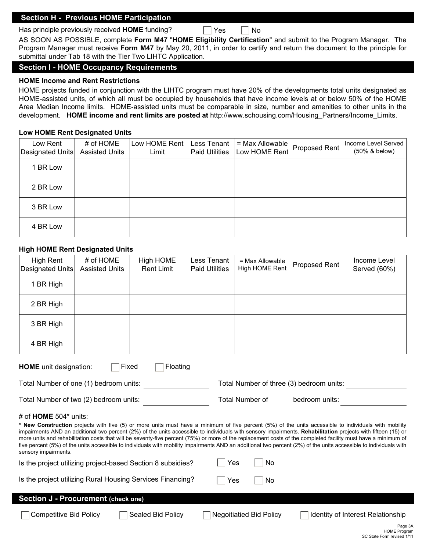# **Section H - Previous HOME Participation**

Has principle previously received **HOME** funding?

 $\Box$  Yes  $\Box$  No

AS SOON AS POSSIBLE, complete **Form M47** "**HOME Eligibility Certification**" and submit to the Program Manager. The Program Manager must receive **Form M47** by May 20, 2011, in order to certify and return the document to the principle for submittal under Tab 18 with the Tier Two LIHTC Application.

# **Section I - HOME Occupancy Requirements**

# **HOME Income and Rent Restrictions**

HOME projects funded in conjunction with the LIHTC program must have 20% of the developments total units designated as HOME-assisted units, of which all must be occupied by households that have income levels at or below 50% of the HOME Area Median Income limits. HOME-assisted units must be comparable in size, number and amenities to other units in the development. **HOME income and rent limits are posted at** http://www.schousing.com/Housing\_Partners/Income\_Limits.

### **Low HOME Rent Designated Units**

| Low Rent<br>Designated Units | # of HOME<br><b>Assisted Units</b> | Low HOME Rent<br>Limit | Less Tenant<br><b>Paid Utilities</b> | $=$ Max Allowable<br>Low HOME Rent | Proposed Rent | Income Level Served<br>(50% & below) |
|------------------------------|------------------------------------|------------------------|--------------------------------------|------------------------------------|---------------|--------------------------------------|
| 1 BR Low                     |                                    |                        |                                      |                                    |               |                                      |
| 2 BR Low                     |                                    |                        |                                      |                                    |               |                                      |
| 3 BR Low                     |                                    |                        |                                      |                                    |               |                                      |
| 4 BR Low                     |                                    |                        |                                      |                                    |               |                                      |

### **High HOME Rent Designated Units**

| <b>High Rent</b><br>Designated Units                                                                                                                                                                                                                                                                                                                                                                                                                                                                                                                                                                                                                                                                           | # of HOME<br><b>Assisted Units</b> | <b>High HOME</b><br><b>Rent Limit</b> | Less Tenant<br><b>Paid Utilities</b> | = Max Allowable<br>High HOME Rent        | <b>Proposed Rent</b> | Income Level<br>Served (60%)      |
|----------------------------------------------------------------------------------------------------------------------------------------------------------------------------------------------------------------------------------------------------------------------------------------------------------------------------------------------------------------------------------------------------------------------------------------------------------------------------------------------------------------------------------------------------------------------------------------------------------------------------------------------------------------------------------------------------------------|------------------------------------|---------------------------------------|--------------------------------------|------------------------------------------|----------------------|-----------------------------------|
| 1 BR High                                                                                                                                                                                                                                                                                                                                                                                                                                                                                                                                                                                                                                                                                                      |                                    |                                       |                                      |                                          |                      |                                   |
| 2 BR High                                                                                                                                                                                                                                                                                                                                                                                                                                                                                                                                                                                                                                                                                                      |                                    |                                       |                                      |                                          |                      |                                   |
| 3 BR High                                                                                                                                                                                                                                                                                                                                                                                                                                                                                                                                                                                                                                                                                                      |                                    |                                       |                                      |                                          |                      |                                   |
| 4 BR High                                                                                                                                                                                                                                                                                                                                                                                                                                                                                                                                                                                                                                                                                                      |                                    |                                       |                                      |                                          |                      |                                   |
| <b>HOME</b> unit designation:                                                                                                                                                                                                                                                                                                                                                                                                                                                                                                                                                                                                                                                                                  | Fixed                              | Floating                              |                                      |                                          |                      |                                   |
| Total Number of one (1) bedroom units:                                                                                                                                                                                                                                                                                                                                                                                                                                                                                                                                                                                                                                                                         |                                    |                                       |                                      | Total Number of three (3) bedroom units: |                      |                                   |
| Total Number of two (2) bedroom units:                                                                                                                                                                                                                                                                                                                                                                                                                                                                                                                                                                                                                                                                         |                                    |                                       |                                      | <b>Total Number of</b>                   | bedroom units:       |                                   |
| # of $HOME 504*$ units:<br>* New Construction projects with five (5) or more units must have a minimum of five percent (5%) of the units accessible to individuals with mobility<br>impairments AND an additional two percent (2%) of the units accessible to individuals with sensory impairments. Rehabilitation projects with fifteen (15) or<br>more units and rehabilitation costs that will be seventy-five percent (75%) or more of the replacement costs of the completed facility must have a minimum of<br>five percent (5%) of the units accessible to individuals with mobility impairments AND an additional two percent (2%) of the units accessible to individuals with<br>sensory impairments. |                                    |                                       |                                      |                                          |                      |                                   |
| Yes<br>No<br>Is the project utilizing project-based Section 8 subsidies?                                                                                                                                                                                                                                                                                                                                                                                                                                                                                                                                                                                                                                       |                                    |                                       |                                      |                                          |                      |                                   |
| Is the project utilizing Rural Housing Services Financing?<br>Yes<br>No                                                                                                                                                                                                                                                                                                                                                                                                                                                                                                                                                                                                                                        |                                    |                                       |                                      |                                          |                      |                                   |
| Section J - Procurement (check one)                                                                                                                                                                                                                                                                                                                                                                                                                                                                                                                                                                                                                                                                            |                                    |                                       |                                      |                                          |                      |                                   |
| <b>Competitive Bid Policy</b>                                                                                                                                                                                                                                                                                                                                                                                                                                                                                                                                                                                                                                                                                  |                                    | Sealed Bid Policy                     |                                      | <b>Negoitiatied Bid Policy</b>           |                      | Identity of Interest Relationship |